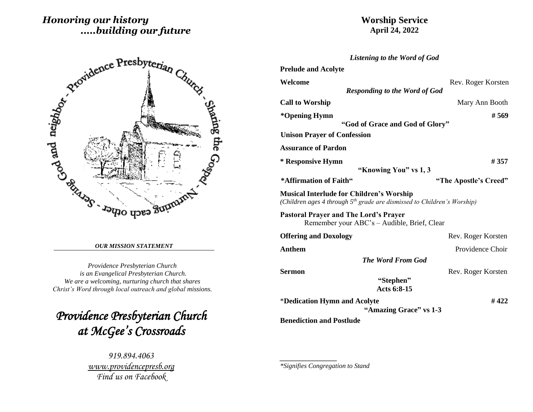# *Honoring our history .....building our future*

# **Worship Service April 24, 2022**

*Listening to the Word of God*

| Artonidence Presbyterian Church |  |
|---------------------------------|--|
|---------------------------------|--|

#### *OUR MISSION STATEMENT*

*Providence Presbyterian Church is an Evangelical Presbyterian Church. We are a welcoming, nurturing church that shares Christ's Word through local outreach and global missions.*

*Providence Presbyterian Church at McGee's Crossroads* 

> *919.894.4063 [www.providencepresb.org](http://www.providencepresb.org/) Find us on Facebook*

| <b>Prelude and Acolyte</b>                                                                                                             |                       |
|----------------------------------------------------------------------------------------------------------------------------------------|-----------------------|
| Welcome                                                                                                                                | Rev. Roger Korsten    |
| <b>Responding to the Word of God</b>                                                                                                   |                       |
| <b>Call to Worship</b>                                                                                                                 | Mary Ann Booth        |
| *Opening Hymn                                                                                                                          | # 569                 |
| "God of Grace and God of Glory"                                                                                                        |                       |
| <b>Unison Prayer of Confession</b>                                                                                                     |                       |
| <b>Assurance of Pardon</b>                                                                                                             |                       |
| * Responsive Hymn                                                                                                                      | # 357                 |
| "Knowing You" vs 1, 3                                                                                                                  |                       |
| *Affirmation of Faith"                                                                                                                 | "The Apostle's Creed" |
| <b>Musical Interlude for Children's Worship</b><br>(Children ages 4 through 5 <sup>th</sup> grade are dismissed to Children's Worship) |                       |
| <b>Pastoral Prayer and The Lord's Prayer</b><br>Remember your ABC's - Audible, Brief, Clear                                            |                       |
| <b>Offering and Doxology</b>                                                                                                           | Rev. Roger Korsten    |
| <b>Anthem</b>                                                                                                                          | Providence Choir      |
| <b>The Word From God</b>                                                                                                               |                       |
| <b>Sermon</b>                                                                                                                          | Rev. Roger Korsten    |
| "Stephen"<br>Acts 6:8-15                                                                                                               |                       |
| *Dedication Hymn and Acolyte<br>"Amazing Grace" vs 1-3                                                                                 | #422                  |
| <b>Benediction and Postlude</b>                                                                                                        |                       |

*\*Signifies Congregation to Stand*

*\_\_\_\_\_\_\_\_\_\_\_\_\_\_\_\_\_*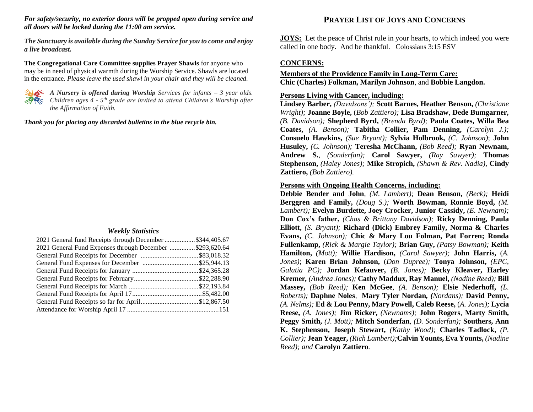*For safety/security, no exterior doors will be propped open during service and all doors will be locked during the 11:00 am service.*

*The Sanctuary is available during the Sunday Service for you to come and enjoy a live broadcast.*

**The Congregational Care Committee supplies Prayer Shawls** for anyone who may be in need of physical warmth during the Worship Service. Shawls are located in the entrance. *Please leave the used shawl in your chair and they will be cleaned.*



*A Nursery is offered during Worship Services for infants – 3 year olds. Children ages 4 - 5 th grade are invited to attend Children's Worship after the Affirmation of Faith.*

*Thank you for placing any discarded bulletins in the blue recycle bin.*

#### *Weekly Statistics*

| 2021 General fund Receipts through December \$344,405.67 |  |
|----------------------------------------------------------|--|
| 2021 General Fund Expenses through December \$293,620.64 |  |
|                                                          |  |
|                                                          |  |
|                                                          |  |
|                                                          |  |
|                                                          |  |
|                                                          |  |
|                                                          |  |
|                                                          |  |
|                                                          |  |

## **PRAYER LIST OF JOYS AND CONCERNS**

**JOYS:** Let the peace of Christ rule in your hearts, to which indeed you were called in one body. And be thankful. Colossians 3:15 ESV

### **CONCERNS:**

### **Members of the Providence Family in Long-Term Care: Chic (Charles) Folkman, Marilyn Johnson**, and **Bobbie Langdon.**

#### **Persons Living with Cancer, including:**

**Lindsey Barber,** *(Davidsons');* **Scott Barnes, Heather Benson,** *(Christiane Wright);* **Joanne Boyle,** (*Bob Zattiero);* **Lisa Bradshaw***,* **Dede Bumgarner***, (B. Davidson);* **Shepherd Byrd,** *(Brenda Byrd);* **Paula Coates, Willa Bea Coates,** *(A. Benson);* **Tabitha Collier, Pam Denning,** *(Carolyn J.);* **Consuelo Hawkins,** *(Sue Bryant);* **Sylvia Holbrook,** *(C. Johnson)*; **John Husuley,** *(C. Johnson);* **Teresha McChann,** *(Bob Reed);* **Ryan Newnam, Andrew S.**, *(Sonderfan);* **Carol Sawyer,** *(Ray Sawyer);* **Thomas Stephenson,** *(Haley Jones);* **Mike Stropich,** *(Shawn & Rev. Nadia),* **Cindy Zattiero,** *(Bob Zattiero).*

#### **Persons with Ongoing Health Concerns, including:**

**Debbie Bender and John***, (M. Lambert);* **Dean Benson,** *(Beck);* **Heidi Berggren and Family,** *(Doug S.);* **Worth Bowman, Ronnie Boyd,** *(M. Lambert);* **Evelyn Burdette, Joey Crocker, Junior Cassidy,** *(E. Newnam);* **Don Cox's father,** *(Chas & Brittany Davidson);* **Ricky Denning, Paula Elliott,** *(S. Bryant);* **Richard (Dick) Embrey Family, Norma & Charles Evans,** *(C. Johnson);* **Chic & Mary Lou Folman, Pat Forren; Ronda Fullenkamp,** *(Rick & Margie Taylor);* **Brian Guy,** *(Patsy Bowman);* **Keith Hamilton,** *(Mott);* **Willie Hardison,** *(Carol Sawyer);* **John Harris,** (*A. Jones)*; **Karen Brian Johnson,** (*Don Dupree);* **Tonya Johnson,** *(EPC, Galatia PC);* **Jordan Kefauver,** *(B. Jones);* **Becky Kleaver, Harley Kremer***, (Andrea Jones);* **Cathy Maddux, Ray Manuel,** *(Nadine Reed);* **Bill Massey,** *(Bob Reed);* **Ken McGee***, (A. Benson);* **Elsie Nederhoff,** *(L. Roberts);* **Daphne Noles***,* **Mary Tyler Nordan***, (Nordans);* **David Penny,** *(A. Nelms);* **Ed & Lou Penny, Mary Powell, Caleb Reese,** (*A. Jones);* **Lycia Reese,** *(A. Jones);* **Jim Ricker,** *(Newnams);* **John Rogers***,* **Marty Smith, Peggy Smith,** *(J. Mott);* **Mitch Sonderfan***, (D. Sonderfan);* **Southers, Ann K. Stephenson, Joseph Stewart,** *(Kathy Wood);* **Charles Tadlock,** *(P. Collier);* **Jean Yeager,** *(Rich Lambert);***Calvin Younts, Eva Younts,** *(Nadine Reed); and* **Carolyn Zattiero***.*